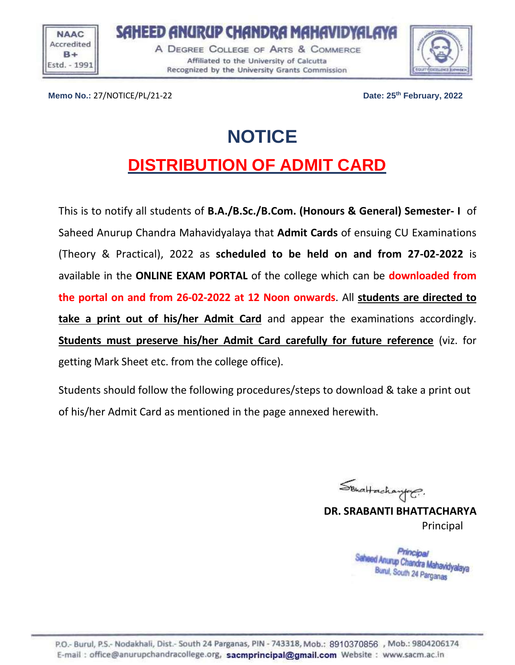**NAAC** Accredited  $B +$ Estd. - 1991 SAHEED ANURUP CHANDRA MAHAVIDYALAYA A DEGREE COLLEGE OF ARTS & COMMERCE Affiliated to the University of Calcutta Recognized by the University Grants Commission



**Memo No.:** 27/NOTICE/PL/21-22 **Date: 25th February, 2022**

## **NOTICE DISTRIBUTION OF ADMIT CARD**

This is to notify all students of **B.A./B.Sc./B.Com. (Honours & General) Semester- I** of Saheed Anurup Chandra Mahavidyalaya that **Admit Cards** of ensuing CU Examinations (Theory & Practical), 2022 as **scheduled to be held on and from 27-02-2022** is available in the **ONLINE EXAM PORTAL** of the college which can be **downloaded from the portal on and from 26-02-2022 at 12 Noon onwards**. All **students are directed to take a print out of his/her Admit Card** and appear the examinations accordingly. **Students must preserve his/her Admit Card carefully for future reference** (viz. for getting Mark Sheet etc. from the college office).

Students should follow the following procedures/steps to download & take a print out of his/her Admit Card as mentioned in the page annexed herewith.

 $\mathcal{S}_{\text{BhdHachayley}}$ 

**DR. SRABANTI BHATTACHARYA** Principal

Principal Saheed Anurup Chandra Mahavidyalaya Burul, South 24 Parganas